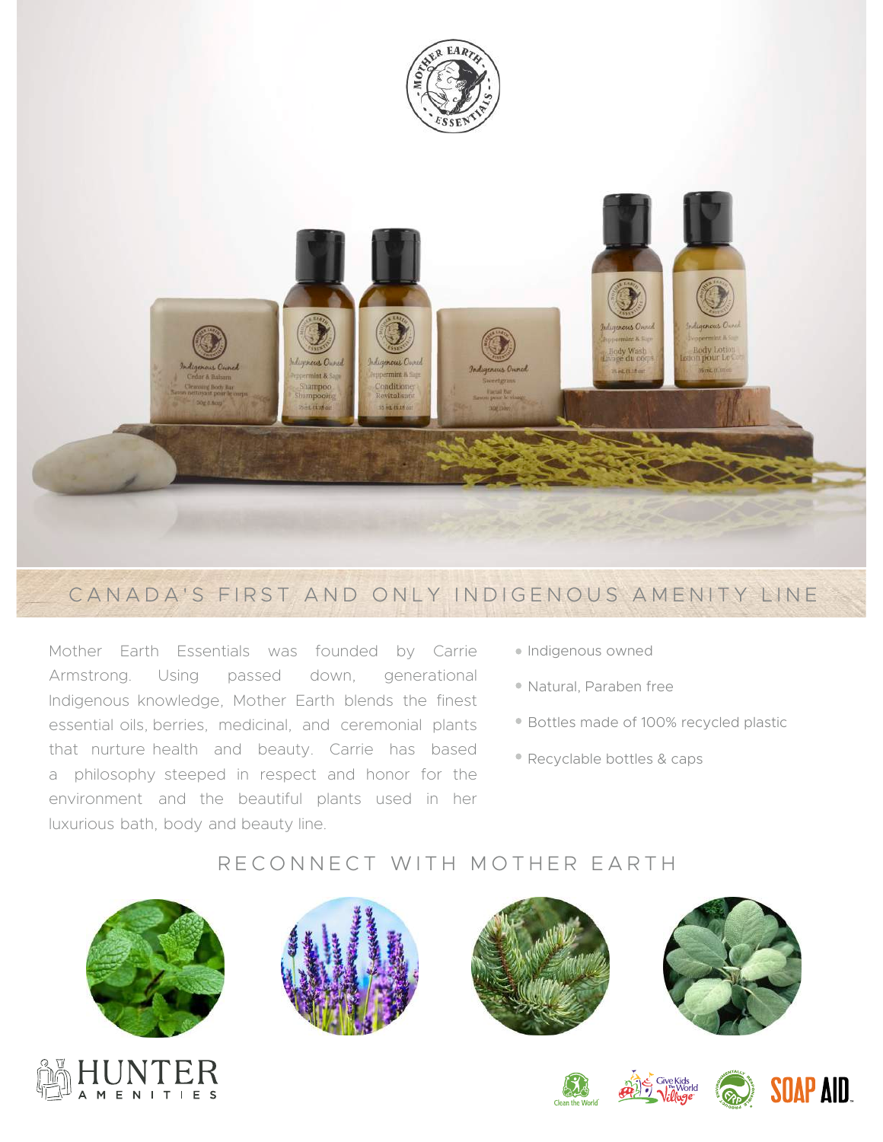



## CANADA'S FIRST AND ONLY INDIGENOUS AMENITY LINE

Mother Earth Essentials was founded by Carrie Armstrong. Using passed down, generational Indigenous knowledge, Mother Earth blends the finest essential oils, berries, medicinal, and ceremonial plants that nurture health and beauty. Carrie has based a philosophy steeped in respect and honor for the environment and the beautiful plants used in her luxurious bath, body and beauty line.

- Indigenous owned
- Natural, Paraben free
- Bottles made of 100% recycled plastic
- Recyclable bottles & caps

## RECONNECT WITH MOTHER EARTH